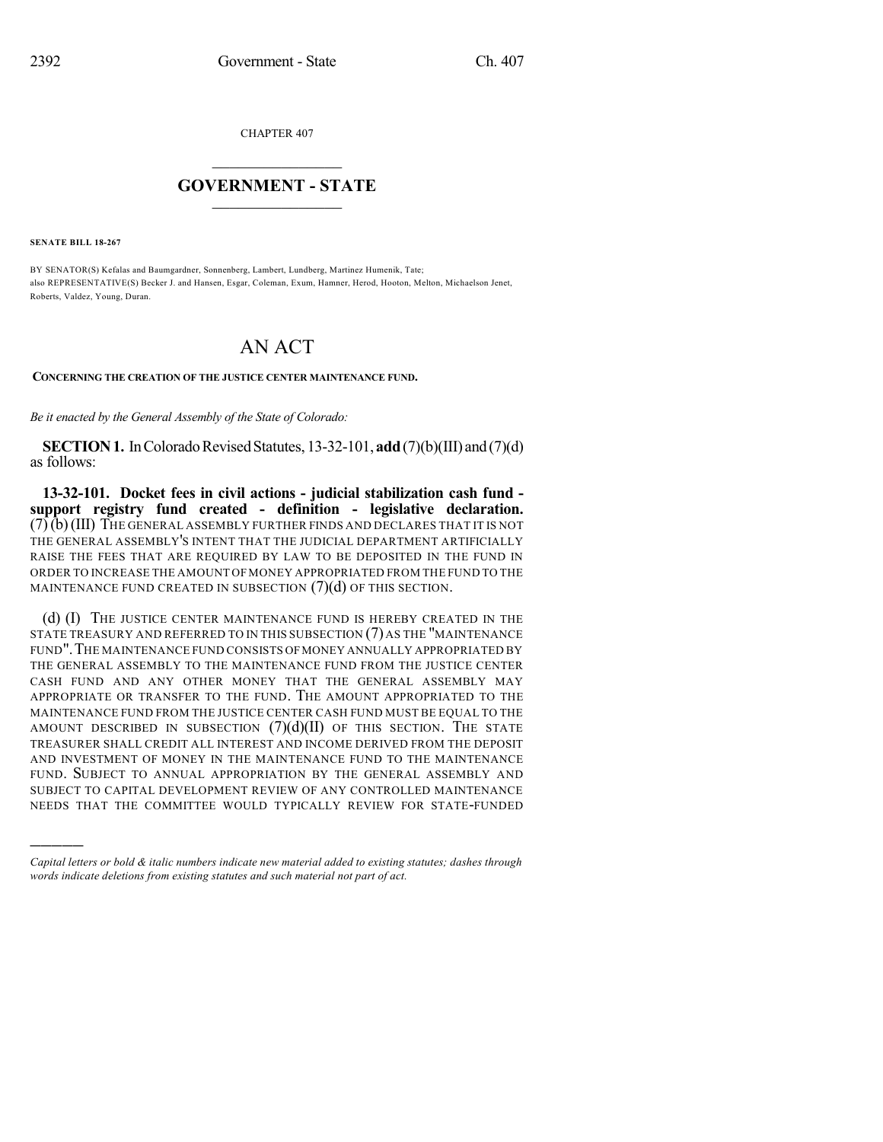CHAPTER 407

## $\mathcal{L}_\text{max}$  . The set of the set of the set of the set of the set of the set of the set of the set of the set of the set of the set of the set of the set of the set of the set of the set of the set of the set of the set **GOVERNMENT - STATE**  $\_$   $\_$

**SENATE BILL 18-267**

)))))

BY SENATOR(S) Kefalas and Baumgardner, Sonnenberg, Lambert, Lundberg, Martinez Humenik, Tate; also REPRESENTATIVE(S) Becker J. and Hansen, Esgar, Coleman, Exum, Hamner, Herod, Hooton, Melton, Michaelson Jenet, Roberts, Valdez, Young, Duran.

## AN ACT

## **CONCERNING THE CREATION OF THE JUSTICE CENTER MAINTENANCE FUND.**

*Be it enacted by the General Assembly of the State of Colorado:*

**SECTION 1.** In Colorado Revised Statutes,  $13-32-101$ , **add** $(7)(b)(III)$  and  $(7)(d)$ as follows:

**13-32-101. Docket fees in civil actions - judicial stabilization cash fund support registry fund created - definition - legislative declaration.** (7)(b)(III) THE GENERAL ASSEMBLY FURTHER FINDS AND DECLARES THAT IT IS NOT THE GENERAL ASSEMBLY'S INTENT THAT THE JUDICIAL DEPARTMENT ARTIFICIALLY RAISE THE FEES THAT ARE REQUIRED BY LAW TO BE DEPOSITED IN THE FUND IN ORDER TO INCREASE THE AMOUNT OF MONEY APPROPRIATED FROM THE FUND TO THE MAINTENANCE FUND CREATED IN SUBSECTION  $(7)(d)$  OF THIS SECTION.

(d) (I) THE JUSTICE CENTER MAINTENANCE FUND IS HEREBY CREATED IN THE STATE TREASURY AND REFERRED TO IN THIS SUBSECTION  $(7)$  as the "MAINTENANCE FUND".THE MAINTENANCE FUND CONSISTS OFMONEY ANNUALLY APPROPRIATED BY THE GENERAL ASSEMBLY TO THE MAINTENANCE FUND FROM THE JUSTICE CENTER CASH FUND AND ANY OTHER MONEY THAT THE GENERAL ASSEMBLY MAY APPROPRIATE OR TRANSFER TO THE FUND. THE AMOUNT APPROPRIATED TO THE MAINTENANCE FUND FROM THE JUSTICE CENTER CASH FUND MUST BE EQUAL TO THE AMOUNT DESCRIBED IN SUBSECTION  $(7)(d)(II)$  of this section. The state TREASURER SHALL CREDIT ALL INTEREST AND INCOME DERIVED FROM THE DEPOSIT AND INVESTMENT OF MONEY IN THE MAINTENANCE FUND TO THE MAINTENANCE FUND. SUBJECT TO ANNUAL APPROPRIATION BY THE GENERAL ASSEMBLY AND SUBJECT TO CAPITAL DEVELOPMENT REVIEW OF ANY CONTROLLED MAINTENANCE NEEDS THAT THE COMMITTEE WOULD TYPICALLY REVIEW FOR STATE-FUNDED

*Capital letters or bold & italic numbers indicate new material added to existing statutes; dashes through words indicate deletions from existing statutes and such material not part of act.*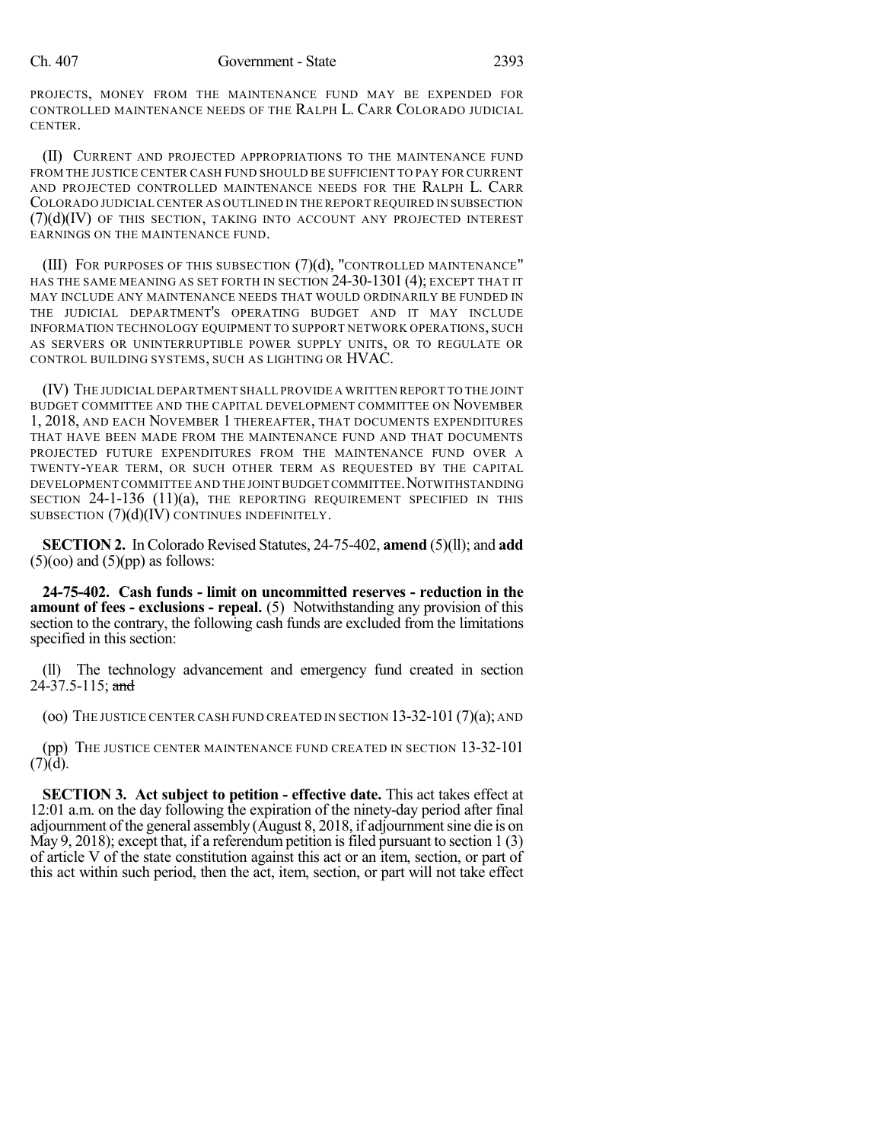PROJECTS, MONEY FROM THE MAINTENANCE FUND MAY BE EXPENDED FOR CONTROLLED MAINTENANCE NEEDS OF THE RALPH L. CARR COLORADO JUDICIAL CENTER.

(II) CURRENT AND PROJECTED APPROPRIATIONS TO THE MAINTENANCE FUND FROM THE JUSTICE CENTER CASH FUND SHOULD BE SUFFICIENT TO PAY FOR CURRENT AND PROJECTED CONTROLLED MAINTENANCE NEEDS FOR THE RALPH L. CARR COLORADO JUDICIALCENTER AS OUTLINED IN THE REPORT REQUIRED IN SUBSECTION  $(7)(d)(IV)$  of this section, taking into account any projected interest EARNINGS ON THE MAINTENANCE FUND.

(III) FOR PURPOSES OF THIS SUBSECTION  $(7)(d)$ , "CONTROLLED MAINTENANCE" HAS THE SAME MEANING AS SET FORTH IN SECTION 24-30-1301 (4); EXCEPT THAT IT MAY INCLUDE ANY MAINTENANCE NEEDS THAT WOULD ORDINARILY BE FUNDED IN THE JUDICIAL DEPARTMENT'S OPERATING BUDGET AND IT MAY INCLUDE INFORMATION TECHNOLOGY EQUIPMENT TO SUPPORT NETWORK OPERATIONS, SUCH AS SERVERS OR UNINTERRUPTIBLE POWER SUPPLY UNITS, OR TO REGULATE OR CONTROL BUILDING SYSTEMS, SUCH AS LIGHTING OR HVAC.

(IV) THE JUDICIAL DEPARTMENT SHALL PROVIDE A WRITTEN REPORT TO THE JOINT BUDGET COMMITTEE AND THE CAPITAL DEVELOPMENT COMMITTEE ON NOVEMBER 1, 2018, AND EACH NOVEMBER 1 THEREAFTER, THAT DOCUMENTS EXPENDITURES THAT HAVE BEEN MADE FROM THE MAINTENANCE FUND AND THAT DOCUMENTS PROJECTED FUTURE EXPENDITURES FROM THE MAINTENANCE FUND OVER A TWENTY-YEAR TERM, OR SUCH OTHER TERM AS REQUESTED BY THE CAPITAL DEVELOPMENT COMMITTEE AND THE JOINT BUDGET COMMITTEE.NOTWITHSTANDING SECTION 24-1-136 (11)(a), THE REPORTING REQUIREMENT SPECIFIED IN THIS SUBSECTION  $(7)(d)(I\dot{V})$  CONTINUES INDEFINITELY.

**SECTION 2.** In Colorado Revised Statutes, 24-75-402, **amend** (5)(ll); and **add**  $(5)(oo)$  and  $(5)(pp)$  as follows:

**24-75-402. Cash funds - limit on uncommitted reserves - reduction in the amount of fees - exclusions - repeal.** (5) Notwithstanding any provision of this section to the contrary, the following cash funds are excluded from the limitations specified in this section:

(ll) The technology advancement and emergency fund created in section 24-37.5-115; and

(oo) THE JUSTICE CENTER CASH FUND CREATED IN SECTION 13-32-101 (7)(a); AND

(pp) THE JUSTICE CENTER MAINTENANCE FUND CREATED IN SECTION 13-32-101  $(7)(d)$ .

**SECTION 3. Act subject to petition - effective date.** This act takes effect at 12:01 a.m. on the day following the expiration of the ninety-day period after final adjournment of the general assembly (August 8, 2018, if adjournmentsine die is on May 9, 2018); except that, if a referendum petition is filed pursuant to section  $1(3)$ of article V of the state constitution against this act or an item, section, or part of this act within such period, then the act, item, section, or part will not take effect